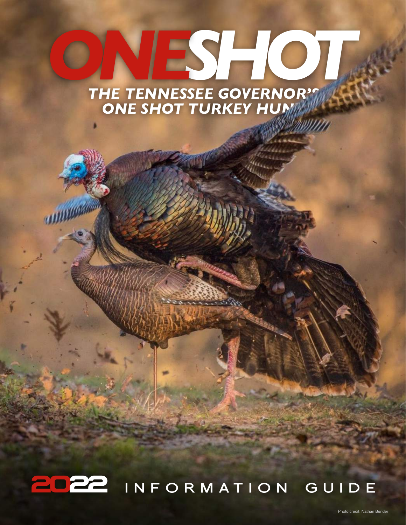# *THE TENNESSEE GOVERNOR'S*  ONESHOT **ONE SHOT TURKEY HUMT**

**LEBENSHAM** 

**INFORMATION GUIDE 2022**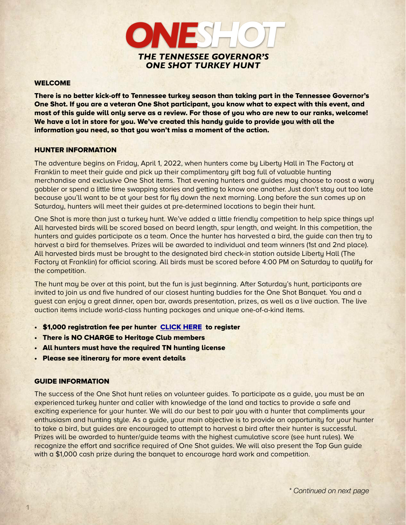

#### WELCOME

There is no better kick-off to Tennessee turkey season than taking part in the Tennessee Governor's One Shot. If you are a veteran One Shot participant, you know what to expect with this event, and most of this guide will only serve as a review. For those of you who are new to our ranks, welcome! We have a lot in store for you. We've created this handy guide to provide you with all the information you need, so that you won't miss a moment of the action.

#### HUNTER INFORMATION

The adventure begins on Friday, April 1, 2022, when hunters come by Liberty Hall in The Factory at Franklin to meet their guide and pick up their complimentary gift bag full of valuable hunting merchandise and exclusive One Shot items. That evening hunters and guides may choose to roost a wary gobbler or spend a little time swapping stories and getting to know one another. Just don't stay out too late because you'll want to be at your best for fly down the next morning. Long before the sun comes up on Saturday, hunters will meet their guides at pre-determined locations to begin their hunt.

One Shot is more than just a turkey hunt. We've added a little friendly competition to help spice things up! All harvested birds will be scored based on beard length, spur length, and weight. In this competition, the hunters and guides participate as a team. Once the hunter has harvested a bird, the guide can then try to harvest a bird for themselves. Prizes will be awarded to individual and team winners (1st and 2nd place). All harvested birds must be brought to the designated bird check-in station outside Liberty Hall (The Factory at Franklin) for official scoring. All birds must be scored before 4:00 PM on Saturday to qualify for the competition.

The hunt may be over at this point, but the fun is just beginning. After Saturday's hunt, participants are invited to join us and five hundred of our closest hunting buddies for the One Shot Banquet. You and a guest can enjoy a great dinner, open bar, awards presentation, prizes, as well as a live auction. The live auction items include world-class hunting packages and unique one-of-a-kind items.

- \$1,000 registration fee per hunter [CLICK HERE](https://form.jotform.com/210664433936155) to register
- There is NO CHARGE to Heritage Club members
- All hunters must have the required TN hunting license
- Please see itinerary for more event details

#### GUIDE INFORMATION

The success of the One Shot hunt relies on volunteer guides. To participate as a guide, you must be an experienced turkey hunter and caller with knowledge of the land and tactics to provide a safe and exciting experience for your hunter. We will do our best to pair you with a hunter that compliments your enthusiasm and hunting style. As a quide, your main objective is to provide an opportunity for your hunter to take a bird, but guides are encouraged to attempt to harvest a bird after their hunter is successful. Prizes will be awarded to hunter/guide teams with the highest cumulative score (see hunt rules). We recognize the effort and sacrifice required of One Shot guides. We will also present the Top Gun guide with a \$1,000 cash prize during the banquet to encourage hard work and competition.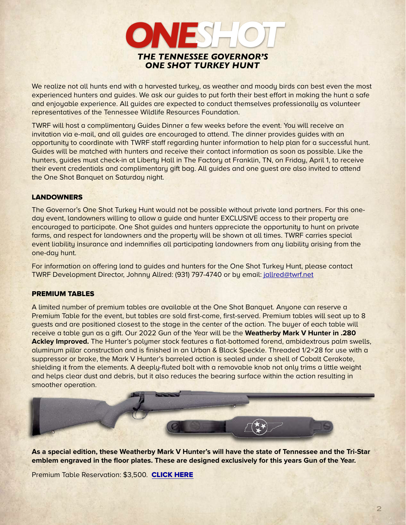

We realize not all hunts end with a harvested turkey, as weather and moody birds can best even the most experienced hunters and guides. We ask our guides to put forth their best effort in making the hunt a safe and enjoyable experience. All guides are expected to conduct themselves professionally as volunteer representatives of the Tennessee Wildlife Resources Foundation.

TWRF will host a complimentary Guides Dinner a few weeks before the event. You will receive an invitation via e-mail, and all guides are encouraged to attend. The dinner provides guides with an opportunity to coordinate with TWRF staff regarding hunter information to help plan for a successful hunt. Guides will be matched with hunters and receive their contact information as soon as possible. Like the hunters, guides must check-in at Liberty Hall in The Factory at Franklin, TN, on Friday, April 1, to receive their event credentials and complimentary gift bag. All guides and one guest are also invited to attend the One Shot Banquet on Saturday night.

# **LANDOWNERS**

The Governor's One Shot Turkey Hunt would not be possible without private land partners. For this oneday event, landowners willing to allow a guide and hunter EXCLUSIVE access to their property are encouraged to participate. One Shot guides and hunters appreciate the opportunity to hunt on private farms, and respect for landowners and the property will be shown at all times. TWRF carries special event liability insurance and indemnifies all participating landowners from any liability arising from the one-day hunt.

For information on offering land to guides and hunters for the One Shot Turkey Hunt, please contact TWRF Development Director, Johnny Allred: (931) 797-4740 or by email: [jallred@twrf.net](mailto:no_reply@apple.com)

# PREMIUM TABLES

A limited number of premium tables are available at the One Shot Banquet. Anyone can reserve a Premium Table for the event, but tables are sold first-come, first-served. Premium tables will seat up to 8 guests and are positioned closest to the stage in the center of the action. The buyer of each table will receive a table gun as a gift. Our 2022 Gun of the Year will be the **Weatherby Mark V Hunter in .280 Ackley Improved.** The Hunter's polymer stock features a flat-bottomed forend, ambidextrous palm swells, aluminum pillar construction and is finished in an Urban & Black Speckle. Threaded 1/2×28 for use with a suppressor or brake, the Mark V Hunter's barreled action is sealed under a shell of Cobalt Cerakote, shielding it from the elements. A deeply-fluted bolt with a removable knob not only trims a little weight and helps clear dust and debris, but it also reduces the bearing surface within the action resulting in smoother operation.



**As a special edition, these Weatherby Mark V Hunter's will have the state of Tennessee and the Tri-Star emblem engraved in the floor plates. These are designed exclusively for this years Gun of the Year.** 

Premium Table Reservation: \$3,500. [CLICK HERE](https://form.jotform.com/210664433936155)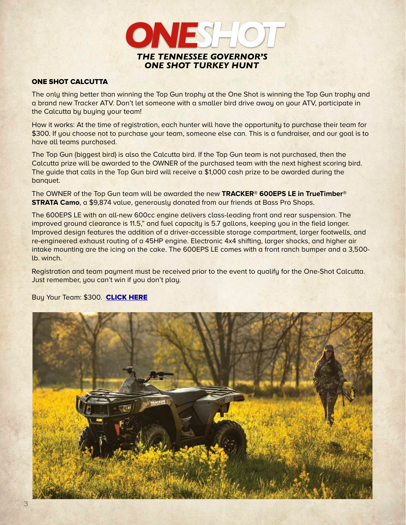

# ONE SHOT CALCUTTA

The only thing better than winning the Top Gun trophy at the One Shot is winning the Top Gun trophy and a brand new Tracker ATV. Don't let someone with a smaller bird drive away on your ATV, participate in the Calcutta by buying your team!

How it works: At the time of registration, each hunter will have the opportunity to purchase their team for \$300. If you choose not to purchase your team, someone else can. This is a fundraiser, and our goal is to have all teams purchased.

The Top Gun (biggest bird) is also the Calcutta bird. If the Top Gun team is not purchased, then the Calcutta prize will be awarded to the OWNER of the purchased team with the next highest scoring bird. The guide that calls in the Top Gun bird will receive a \$1,000 cash prize to be awarded during the banquet.

The OWNER of the Top Gun team will be awarded the new **TRACKER® 600EPS LE in TrueTimber® STRATA Camo**, a \$9,874 value, generously donated from our friends at Bass Pro Shops.

The 600EPS LE with an all-new 600cc engine delivers class-leading front and rear suspension. The improved ground clearance is 11.5," and fuel capacity is 5.7 gallons, keeping you in the field longer. Improved design features the addition of a driver-accessible storage compartment, larger footwells, and re-engineered exhaust routing of a 45HP engine. Electronic 4x4 shifting, larger shocks, and higher air intake mounting are the icing on the cake. The 600EPS LE comes with a front ranch bumper and a 3,500 lb. winch.

Registration and team payment must be received prior to the event to qualify for the One-Shot Calcutta. Just remember, you can't win if you don't play.

# Buy Your Team: \$300. [CLICK HERE](https://form.jotform.com/210664433936155)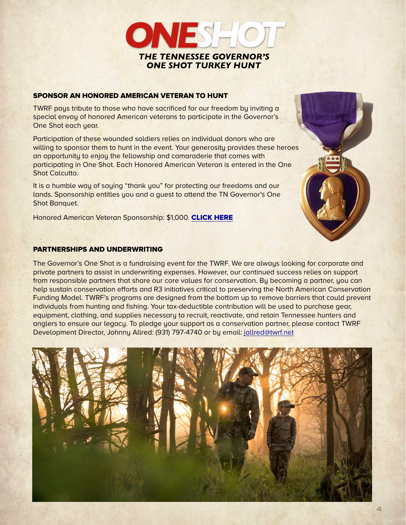

# SPONSOR AN HONORED AMERICAN VETERAN TO HUNT

TWRF pays tribute to those who have sacrificed for our freedom by inviting a special envoy of honored American veterans to participate in the Governor's One Shot each year.

Participation of these wounded soldiers relies on individual donors who are willing to sponsor them to hunt in the event. Your generosity provides these heroes an opportunity to enjoy the fellowship and camaraderie that comes with participating in One Shot. Each Honored American Veteran is entered in the One Shot Calcutta.

It is a humble way of saying "thank you" for protecting our freedoms and our lands. Sponsorship entitles you and a guest to attend the TN Governor's One Shot Banquet.

Honored American Veteran Sponsorship: \$1,000. [CLICK HERE](https://form.jotform.com/210664433936155)

# PARTNERSHIPS AND UNDERWRITING

The Governor's One Shot is a fundraising event for the TWRF. We are always looking for corporate and private partners to assist in underwriting expenses. However, our continued success relies on support from responsible partners that share our core values for conservation. By becoming a partner, you can help sustain conservation efforts and R3 initiatives critical to preserving the North American Conservation Funding Model. TWRF's programs are designed from the bottom up to remove barriers that could prevent individuals from hunting and fishing. Your tax-deductible contribution will be used to purchase gear, equipment, clothing, and supplies necessary to recruit, reactivate, and retain Tennessee hunters and anglers to ensure our legacy. To pledge your support as a conservation partner, please contact TWRF Development Director, Johnny Allred: (931) 797-4740 or by email: [jallred@twrf.net](mailto:jallred@twrf.net)

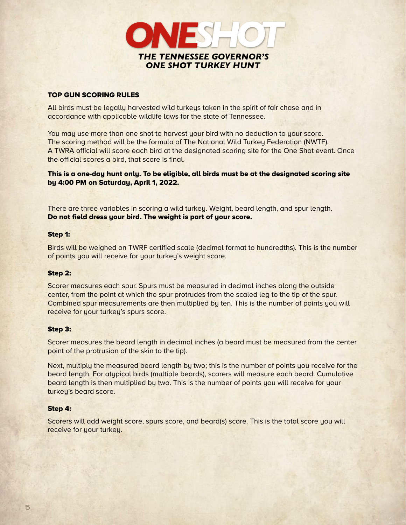

# TOP GUN SCORING RULES

All birds must be legally harvested wild turkeys taken in the spirit of fair chase and in accordance with applicable wildlife laws for the state of Tennessee.

You may use more than one shot to harvest your bird with no deduction to your score. The scoring method will be the formula of The National Wild Turkey Federation (NWTF). A TWRA official will score each bird at the designated scoring site for the One Shot event. Once the official scores a bird, that score is final.

This is a one-day hunt only. To be eligible, all birds must be at the designated scoring site by 4:00 PM on Saturday, April 1, 2022.

There are three variables in scoring a wild turkey. Weight, beard length, and spur length. Do not field dress your bird. The weight is part of your score.

#### Step 1:

Birds will be weighed on TWRF certified scale (decimal format to hundredths). This is the number of points you will receive for your turkey's weight score.

#### Step 2:

Scorer measures each spur. Spurs must be measured in decimal inches along the outside center, from the point at which the spur protrudes from the scaled leg to the tip of the spur. Combined spur measurements are then multiplied by ten. This is the number of points you will receive for your turkey's spurs score.

#### Step 3:

Scorer measures the beard length in decimal inches (a beard must be measured from the center point of the protrusion of the skin to the tip).

Next, multiply the measured beard length by two; this is the number of points you receive for the beard length. For atypical birds (multiple beards), scorers will measure each beard. Cumulative beard length is then multiplied by two. This is the number of points you will receive for your turkey's beard score.

#### Step 4:

Scorers will add weight score, spurs score, and beard(s) score. This is the total score you will receive for your turkey.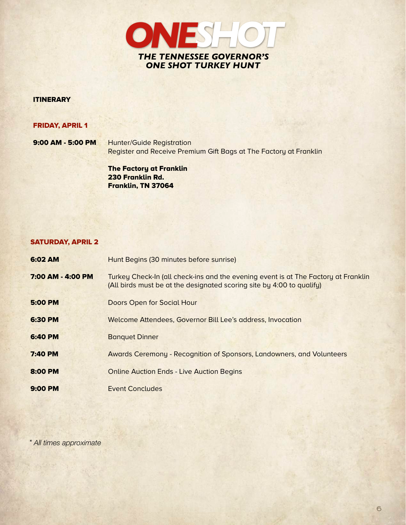

# **ITINERARY**

# FRIDAY, APRIL 1

9:00 AM - 5:00 PM Hunter/Guide Registration Register and Receive Premium Gift Bags at The Factory at Franklin

> The Factory at Franklin 230 Franklin Rd. Franklin, TN 37064

#### SATURDAY, APRIL 2

| 6:02 AM           | Hunt Begins (30 minutes before sunrise)                                                                                                                     |
|-------------------|-------------------------------------------------------------------------------------------------------------------------------------------------------------|
| 7:00 AM - 4:00 PM | Turkey Check-In (all check-ins and the evening event is at The Factory at Franklin<br>(All birds must be at the designated scoring site by 4:00 to qualify) |
| <b>5:00 PM</b>    | Doors Open for Social Hour                                                                                                                                  |
| 6:30 PM           | Welcome Attendees, Governor Bill Lee's address, Invocation                                                                                                  |
| <b>6:40 PM</b>    | <b>Banquet Dinner</b>                                                                                                                                       |
| <b>7:40 PM</b>    | Awards Ceremony - Recognition of Sponsors, Landowners, and Volunteers                                                                                       |
| 8:00 PM           | <b>Online Auction Ends - Live Auction Begins</b>                                                                                                            |
| $9:00$ PM         | Event Concludes                                                                                                                                             |

*\* All times approximate*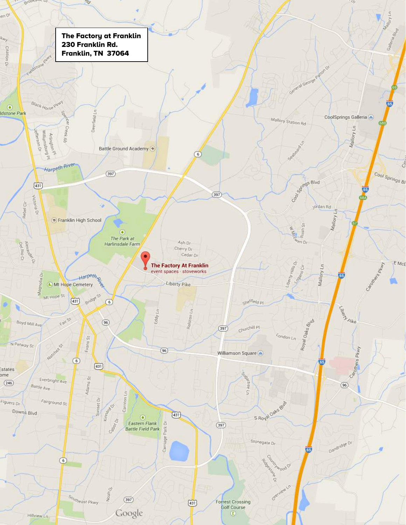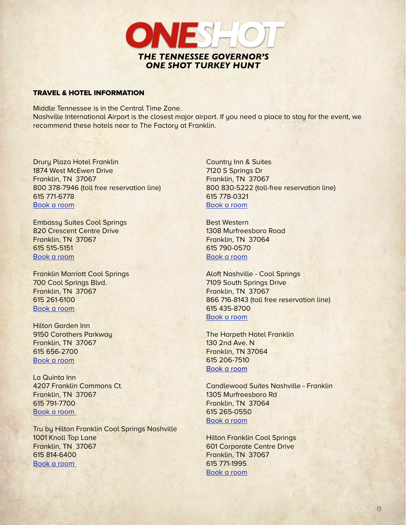

#### TRAVEL & HOTEL INFORMATION

Middle Tennessee is in the Central Time Zone. Nashville International Airport is the closest major airport. If you need a place to stay for the event, we recommend these hotels near to The Factory at Franklin.

Drury Plaza Hotel Franklin 1874 West McEwen Drive Franklin, TN 37067 800 378-7946 (toll free reservation line) 615 771-6778 [Book a room](https://www.druryhotels.com/locations/nashville-tn/drury-plaza-hotel-nashville-franklin) 

Embassy Suites Cool Springs 820 Crescent Centre Drive Franklin, TN 37067 615 515-5151 [Book a room](http://embassysuites3.hilton.com/en/hotels/tennessee/embassy-suites-nashville-south-cool-springs-BNAFLES/index.html) 

Franklin Marriott Cool Springs 700 Cool Springs Blvd. Franklin, TN 37067 615 261-6100 [Book a room](http://www.marriott.com/hotels/travel/bnacs-franklin-marriott-cool-springs/)

Hilton Garden Inn 9150 Carothers Parkway Franklin, TN 37067 615 656-2700 [Book a room](http://hiltongardeninn3.hilton.com/en/hotels/tennessee/hilton-garden-inn-nashville-franklin-cool-springs-BNACSGI/index.html) 

La Quinta Inn 4207 Franklin Commons Ct. Franklin, TN 37067 615 791-7700 [Book a room](https://www.wyndhamhotels.com/baymont/franklin-tennessee/baymont-franklin-cool-springs/overview?brand_id=LQ&checkInDate=2/21/2022&checkOutDate=2/22/2022&useWRPoints=false&children=0&adults=1&rooms=1&loc=ChIJNUn54OB4Y4gRoY36gKnbrfc&sessionId=1645484784&referringBrand=LQ) 

Tru by Hilton Franklin Cool Springs Nashville 1001 Knoll Top Lane Franklin, TN 37067 615 814-6400 [Book a room](https://www.hilton.com/en/hotels/bnatnru-tru-franklin-cool-springs-nashville/) 

Country Inn & Suites 7120 S Springs Dr Franklin, TN 37067 800 830-5222 (toll-free reservation line) 615 778-0321 [Book a room](http://www.countryinns.com/franklin-hotel-tn-37067/tncool)

Best Western 1308 Murfreesboro Road Franklin, TN 37064 615 790-0570 [Book a room](https://www.guestreservations.com/best-western-franklin-inn/booking?gclid=EAIaIQobChMIptz3g-C-4AIVkonICh3_wAr8EAAYASAAEgLeqfD_BwE)

Aloft Nashville - Cool Springs 7109 South Springs Drive Franklin, TN 37067 866 716-8143 (toll free reservation line) 615 435-8700 [Book a room](http://www.aloftnashvillecoolsprings.com)

The Harpeth Hotel Franklin 130 2nd Ave. N Franklin, TN 37064 615 206-7510 [Book a room](https://harpethhotel.com)

Candlewood Suites Nashville - Franklin 1305 Murfreesboro Rd Franklin, TN 37064 615 265-0550 [Book a room](https://www.ihg.com/candlewood/hotels/us/en/franklin/frltn/hoteldetail?cm_mmc=GoogleMaps-_-CW-_-US-_-FRLTN)

Hilton Franklin Cool Springs 601 Corporate Centre Drive Franklin, TN 37067 615 771-1995 [Book a room](https://www.hilton.com/en/book/reservation/rooms/?ctyhocn=BNAFRHH&arrivalDate=2022-02-23&departureDate=2022-02-24&room1NumAdults=2&inputModule=HOTEL_SEARCH&viewPackagesAndPromotionsRate=true&WT.mc_id=zLADA0US1HH2OLX3GGL4ADVMETA5LF6_BNAFRHH7_129231037_&adType=PD&gclid=EAIaIQobChMIm9TF3PiR9gIVUvOACh3K3wv-EAoYASAAEgJKDvD_BwE&dsclid=43337506812887040&dclid=CPrEg-X4kfYCFQfUlAkdew0MMQ&hmGUID=a3123752-5e88-40f0-1e83-3f4531ace167)